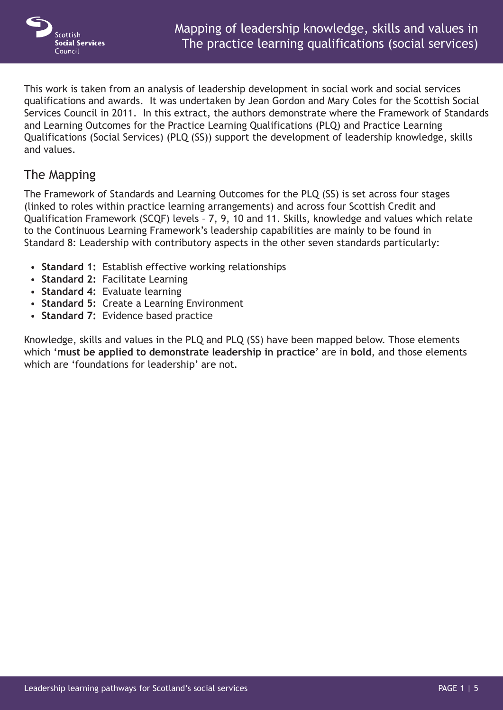

This work is taken from an analysis of leadership development in social work and social services qualifications and awards. It was undertaken by Jean Gordon and Mary Coles for the Scottish Social Services Council in 2011. In this extract, the authors demonstrate where the Framework of Standards and Learning Outcomes for the Practice Learning Qualifications (PLQ) and Practice Learning Qualifications (Social Services) (PLQ (SS)) support the development of leadership knowledge, skills and values.

## The Mapping

The Framework of Standards and Learning Outcomes for the PLQ (SS) is set across four stages (linked to roles within practice learning arrangements) and across four Scottish Credit and Qualification Framework (SCQF) levels – 7, 9, 10 and 11. Skills, knowledge and values which relate to the Continuous Learning Framework's leadership capabilities are mainly to be found in Standard 8: Leadership with contributory aspects in the other seven standards particularly:

- **Standard 1:** Establish effective working relationships
- **Standard 2:** Facilitate Learning
- **Standard 4:** Evaluate learning
- **Standard 5:** Create a Learning Environment
- **Standard 7:** Evidence based practice

Knowledge, skills and values in the PLQ and PLQ (SS) have been mapped below. Those elements which '**must be applied to demonstrate leadership in practice**' are in **bold**, and those elements which are 'foundations for leadership' are not.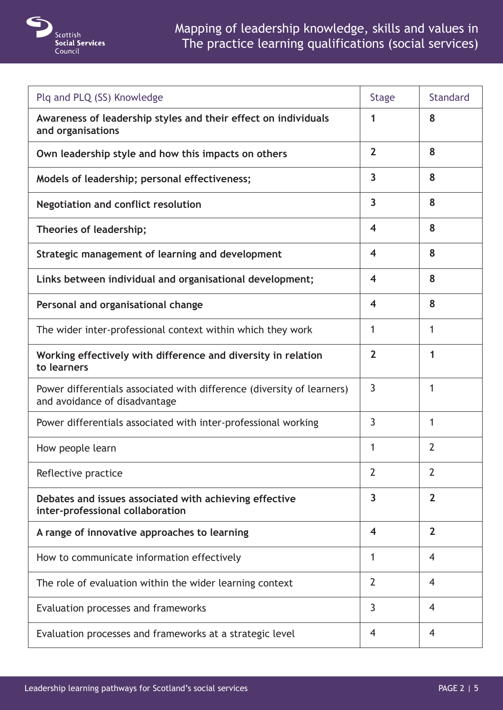

| Plq and PLQ (SS) Knowledge                                                                              | <b>Stage</b>            | <b>Standard</b> |
|---------------------------------------------------------------------------------------------------------|-------------------------|-----------------|
| Awareness of leadership styles and their effect on individuals<br>and organisations                     | 1                       | 8               |
| Own leadership style and how this impacts on others                                                     | $\overline{2}$          | 8               |
| Models of leadership; personal effectiveness;                                                           | $\overline{\mathbf{3}}$ | 8               |
| <b>Negotiation and conflict resolution</b>                                                              | $\overline{\mathbf{3}}$ | 8               |
| Theories of leadership;                                                                                 | $\overline{\mathbf{4}}$ | 8               |
| Strategic management of learning and development                                                        | $\overline{\mathbf{4}}$ | 8               |
| Links between individual and organisational development;                                                | $\overline{\mathbf{4}}$ | 8               |
| Personal and organisational change                                                                      | $\overline{\mathbf{4}}$ | 8               |
| The wider inter-professional context within which they work                                             | 1                       | 1               |
| Working effectively with difference and diversity in relation<br>to learners                            | $\overline{2}$          | 1               |
| Power differentials associated with difference (diversity of learners)<br>and avoidance of disadvantage | 3                       | 1               |
| Power differentials associated with inter-professional working                                          | 3                       | 1               |
| How people learn                                                                                        | 1                       | $\overline{2}$  |
| Reflective practice                                                                                     | $\overline{2}$          | $\overline{2}$  |
| Debates and issues associated with achieving effective<br>inter-professional collaboration              | 3                       | $\overline{2}$  |
| A range of innovative approaches to learning                                                            | $\overline{\mathbf{4}}$ | $\overline{2}$  |
| How to communicate information effectively                                                              | 1                       | $\overline{4}$  |
| The role of evaluation within the wider learning context                                                | $\overline{2}$          | 4               |
| Evaluation processes and frameworks                                                                     | 3                       | $\overline{4}$  |
| Evaluation processes and frameworks at a strategic level                                                | 4                       | 4               |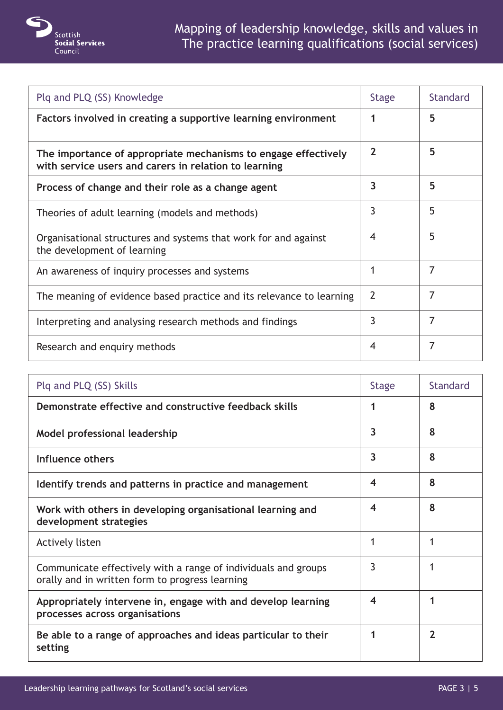

| Plq and PLQ (SS) Knowledge                                                                                              | <b>Stage</b>   | <b>Standard</b> |
|-------------------------------------------------------------------------------------------------------------------------|----------------|-----------------|
| Factors involved in creating a supportive learning environment                                                          | 1              | 5               |
| The importance of appropriate mechanisms to engage effectively<br>with service users and carers in relation to learning | $\mathbf 2$    | 5               |
| Process of change and their role as a change agent                                                                      | 3              | 5               |
| Theories of adult learning (models and methods)                                                                         | 3              | 5               |
| Organisational structures and systems that work for and against<br>the development of learning                          | 4              | 5               |
| An awareness of inquiry processes and systems                                                                           | 1              | 7               |
| The meaning of evidence based practice and its relevance to learning                                                    | $\overline{2}$ | 7               |
| Interpreting and analysing research methods and findings                                                                | 3              | 7               |
| Research and enquiry methods                                                                                            | 4              | 7               |

| Plg and PLQ (SS) Skills                                                                                           | <b>Stage</b>            | <b>Standard</b> |
|-------------------------------------------------------------------------------------------------------------------|-------------------------|-----------------|
| Demonstrate effective and constructive feedback skills                                                            | 1                       | 8               |
| Model professional leadership                                                                                     | 3                       | 8               |
| Influence others                                                                                                  | 3                       | 8               |
| Identify trends and patterns in practice and management                                                           | $\overline{\bf{4}}$     | 8               |
| Work with others in developing organisational learning and<br>development strategies                              | $\overline{\mathbf{4}}$ | 8               |
| <b>Actively listen</b>                                                                                            | 1                       |                 |
| Communicate effectively with a range of individuals and groups<br>orally and in written form to progress learning | 3                       |                 |
| Appropriately intervene in, engage with and develop learning<br>processes across organisations                    | $\boldsymbol{4}$        |                 |
| Be able to a range of approaches and ideas particular to their<br>setting                                         |                         | $\mathbf 2$     |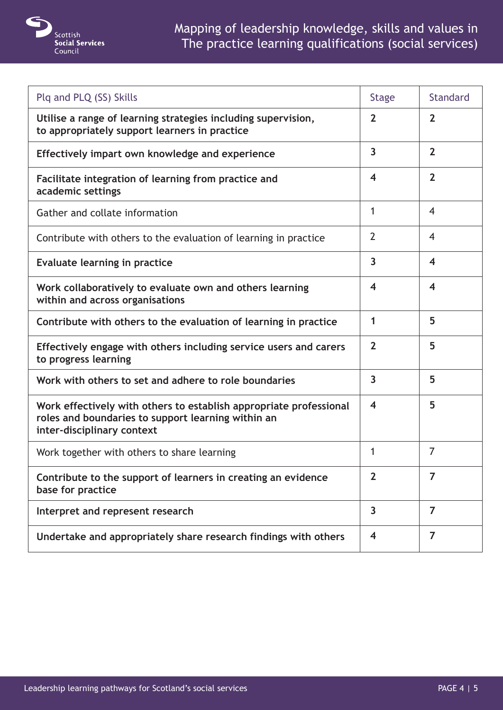

| Plq and PLQ (SS) Skills                                                                                                                                | <b>Stage</b>            | <b>Standard</b>         |
|--------------------------------------------------------------------------------------------------------------------------------------------------------|-------------------------|-------------------------|
| Utilise a range of learning strategies including supervision,<br>to appropriately support learners in practice                                         | $\overline{2}$          | $\overline{2}$          |
| Effectively impart own knowledge and experience                                                                                                        | $\overline{\mathbf{3}}$ | $\overline{2}$          |
| Facilitate integration of learning from practice and<br>academic settings                                                                              | $\overline{\mathbf{4}}$ | $\overline{2}$          |
| Gather and collate information                                                                                                                         | 1                       | $\overline{4}$          |
| Contribute with others to the evaluation of learning in practice                                                                                       | $\overline{2}$          | $\overline{4}$          |
| Evaluate learning in practice                                                                                                                          | $\overline{\mathbf{3}}$ | $\overline{\mathbf{4}}$ |
| Work collaboratively to evaluate own and others learning<br>within and across organisations                                                            | $\overline{\mathbf{4}}$ | $\overline{\mathbf{4}}$ |
| Contribute with others to the evaluation of learning in practice                                                                                       | 1                       | 5                       |
| Effectively engage with others including service users and carers<br>to progress learning                                                              | $\overline{2}$          | 5                       |
| Work with others to set and adhere to role boundaries                                                                                                  | $\overline{\mathbf{3}}$ | 5                       |
| Work effectively with others to establish appropriate professional<br>roles and boundaries to support learning within an<br>inter-disciplinary context | $\overline{\mathbf{4}}$ | 5                       |
| Work together with others to share learning                                                                                                            | 1                       | $\overline{7}$          |
| Contribute to the support of learners in creating an evidence<br>base for practice                                                                     | $\overline{2}$          | 7                       |
| Interpret and represent research                                                                                                                       | $\overline{\mathbf{3}}$ | 7                       |
| Undertake and appropriately share research findings with others                                                                                        | $\overline{\mathbf{4}}$ | 7                       |